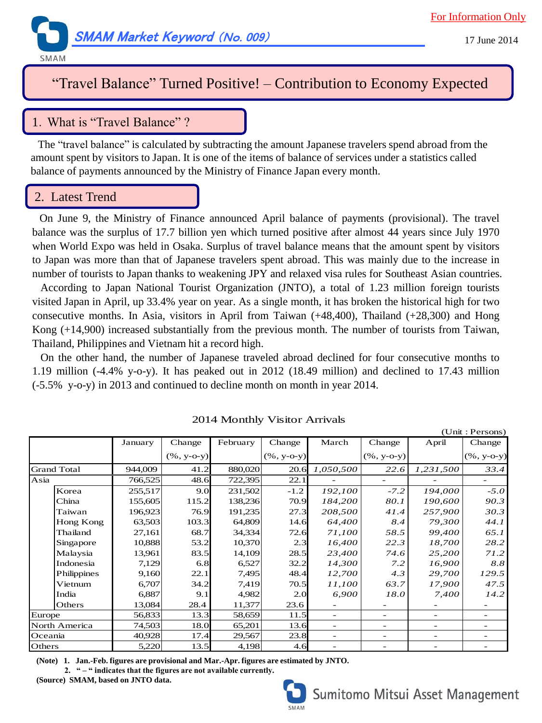

# "Travel Balance" Turned Positive! – Contribution to Economy Expected

## 1.What is "Travel Balance" ?

The "travel balance" is calculated by subtracting the amount Japanese travelers spend abroad from the amount spent by visitors to Japan. It is one of the items of balance of services under a statistics called balance of payments announced by the Ministry of Finance Japan every month.

### 2. Latest Trend

On June 9, the Ministry of Finance announced April balance of payments (provisional). The travel balance was the surplus of 17.7 billion yen which turned positive after almost 44 years since July 1970 when World Expo was held in Osaka. Surplus of travel balance means that the amount spent by visitors to Japan was more than that of Japanese travelers spent abroad. This was mainly due to the increase in number of tourists to Japan thanks to weakening JPY and relaxed visa rules for Southeast Asian countries.

 According to Japan National Tourist Organization (JNTO), a total of 1.23 million foreign tourists visited Japan in April, up 33.4% year on year. As a single month, it has broken the historical high for two consecutive months. In Asia, visitors in April from Taiwan (+48,400), Thailand (+28,300) and Hong Kong (+14,900) increased substantially from the previous month. The number of tourists from Taiwan, Thailand, Philippines and Vietnam hit a record high.

 On the other hand, the number of Japanese traveled abroad declined for four consecutive months to 1.19 million (-4.4% y-o-y). It has peaked out in 2012 (18.49 million) and declined to 17.43 million (-5.5% y-o-y) in 2013 and continued to decline month on month in year 2014.

|                    |             |         |                |          |                |                          |                          |                          | (Unit: Persons)          |
|--------------------|-------------|---------|----------------|----------|----------------|--------------------------|--------------------------|--------------------------|--------------------------|
|                    |             | January | Change         | February | Change         | March                    | Change                   | April                    | Change                   |
|                    |             |         | $(\% , y-o-y)$ |          | $(\% , y-o-y)$ |                          | $(\% , y-o-y)$           |                          | $(\% , y-o-y)$           |
| <b>Grand Total</b> |             | 944,009 | 41.2           | 880,020  | 20.6           | 1,050,500                | 22.6                     | 1,231,500                | 33.4                     |
| Asia               |             | 766,525 | 48.6           | 722,395  | 22.1           |                          |                          |                          |                          |
|                    | Korea       | 255,517 | 9.0            | 231,502  | $-1.2$         | 192,100                  | $-7.2$                   | 194,000                  | $-5.0$                   |
|                    | China       | 155,605 | 115.2          | 138,236  | 70.9           | 184,200                  | 80.1                     | 190,600                  | 90.3                     |
|                    | Taiwan      | 196,923 | 76.9           | 191,235  | 27.3           | 208,500                  | 41.4                     | 257,900                  | 30.3                     |
|                    | Hong Kong   | 63,503  | 103.3          | 64,809   | 14.6           | 64,400                   | 8.4                      | 79,300                   | 44.1                     |
|                    | Thailand    | 27,161  | 68.7           | 34,334   | 72.6           | 71,100                   | 58.5                     | 99,400                   | 65.1                     |
|                    | Singapore   | 10,888  | 53.2           | 10,370   | 2.3            | 16,400                   | 22.3                     | 18,700                   | 28.2                     |
|                    | Malaysia    | 13,961  | 83.5           | 14,109   | 28.5           | 23,400                   | 74.6                     | 25,200                   | 71.2                     |
|                    | Indonesia   | 7,129   | 6.8            | 6,527    | 32.2           | 14,300                   | 7.2                      | 16,900                   | 8.8                      |
|                    | Philippines | 9,160   | 22.1           | 7,495    | 48.4           | 12,700                   | 4.3                      | 29,700                   | 129.5                    |
|                    | Vietnum     | 6,707   | 34.2           | 7,419    | 70.5           | 11,100                   | 63.7                     | 17,900                   | 47.5                     |
|                    | India       | 6,887   | 9.1            | 4,982    | 2.0            | 6,900                    | 18.0                     | 7,400                    | 14.2                     |
|                    | Others      | 13,084  | 28.4           | 11,377   | 23.6           |                          |                          |                          |                          |
| Europe             |             | 56,833  | 13.3           | 58,659   | 11.5           |                          | -                        |                          |                          |
| North America      |             | 74,503  | 18.0           | 65,201   | 13.6           | $\overline{\phantom{a}}$ | $\overline{\phantom{0}}$ |                          | $\overline{\phantom{0}}$ |
| Oceania            |             | 40,928  | 17.4           | 29,567   | 23.8           | $\overline{\phantom{0}}$ | $\overline{\phantom{a}}$ | $\overline{\phantom{a}}$ | $\overline{\phantom{0}}$ |
| Others             |             | 5,220   | 13.5           | 4,198    | 4.6            |                          |                          |                          |                          |

2014 Monthly Visitor Arrivals

**(Note) 1. Jan.-Feb. figures are provisional and Mar.-Apr. figures are estimated by JNTO.**

 **2. " – " indicates that the figures are not available currently. (Source) SMAM, based on JNTO data.**



17 June 2014